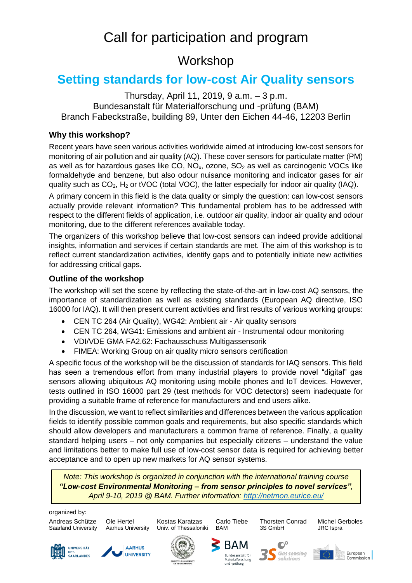# Call for participation and program

## Workshop

## **Setting standards for low-cost Air Quality sensors**

Thursday, April 11, 2019, 9 a.m. – 3 p.m. Bundesanstalt für Materialforschung und -prüfung (BAM) Branch Fabeckstraße, building 89, Unter den Eichen 44-46, 12203 Berlin

#### **Why this workshop?**

Recent years have seen various activities worldwide aimed at introducing low-cost sensors for monitoring of air pollution and air quality (AQ). These cover sensors for particulate matter (PM) as well as for hazardous gases like CO,  $NO<sub>x</sub>$ , ozone,  $SO<sub>2</sub>$  as well as carcinogenic VOCs like formaldehyde and benzene, but also odour nuisance monitoring and indicator gases for air quality such as  $CO<sub>2</sub>$ , H<sub>2</sub> or tVOC (total VOC), the latter especially for indoor air quality (IAQ).

A primary concern in this field is the data quality or simply the question: can low-cost sensors actually provide relevant information? This fundamental problem has to be addressed with respect to the different fields of application, i.e. outdoor air quality, indoor air quality and odour monitoring, due to the different references available today.

The organizers of this workshop believe that low-cost sensors can indeed provide additional insights, information and services if certain standards are met. The aim of this workshop is to reflect current standardization activities, identify gaps and to potentially initiate new activities for addressing critical gaps.

#### **Outline of the workshop**

The workshop will set the scene by reflecting the state-of-the-art in low-cost AQ sensors, the importance of standardization as well as existing standards (European AQ directive, ISO 16000 for IAQ). It will then present current activities and first results of various working groups:

- CEN TC 264 (Air Quality), WG42: Ambient air Air quality sensors
- CEN TC 264, WG41: Emissions and ambient air Instrumental odour monitoring
- VDI/VDE GMA FA2.62: Fachausschuss Multigassensorik
- FIMEA: Working Group on air quality micro sensors certification

A specific focus of the workshop will be the discussion of standards for IAQ sensors. This field has seen a tremendous effort from many industrial players to provide novel "digital" gas sensors allowing ubiquitous AQ monitoring using mobile phones and IoT devices. However, tests outlined in ISO 16000 part 29 (test methods for VOC detectors) seem inadequate for providing a suitable frame of reference for manufacturers and end users alike.

In the discussion, we want to reflect similarities and differences between the various application fields to identify possible common goals and requirements, but also specific standards which should allow developers and manufacturers a common frame of reference. Finally, a quality standard helping users – not only companies but especially citizens – understand the value and limitations better to make full use of low-cost sensor data is required for achieving better acceptance and to open up new markets for AQ sensor systems.

*Note: This workshop is organized in conjunction with the international training course "Low-cost Environmental Monitoring – from sensor principles to novel services", April 9-10, 2019 @ BAM. Further information:<http://netmon.eurice.eu/>*

organized by:

Saarland University Aarhus University Univ. of Thessaloniki BAM 3S GmbH JRC Ispra

UNIVERSITÄT







BAM

Materialforschung<br>und -prüfung

anstalt für

 $\mathbb{O}^{\circ}$ 

**Gas sensing** 

solutions

Andreas Schütze Ole Hertel Kostas Karatzas Carlo Tiebe Thorsten Conrad Michel Gerboles





**Furonean** Commission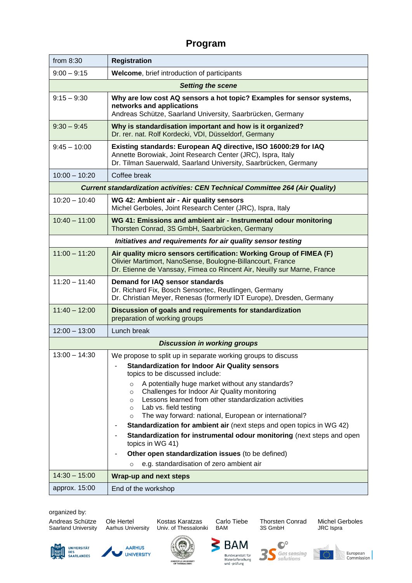### **Program**

| from 8:30                                                                            | <b>Registration</b>                                                                                                                                                                                                                                                                                                                                                                                                                                                                                                                                                                                                                                                                                                                               |  |
|--------------------------------------------------------------------------------------|---------------------------------------------------------------------------------------------------------------------------------------------------------------------------------------------------------------------------------------------------------------------------------------------------------------------------------------------------------------------------------------------------------------------------------------------------------------------------------------------------------------------------------------------------------------------------------------------------------------------------------------------------------------------------------------------------------------------------------------------------|--|
| $9:00 - 9:15$                                                                        | Welcome, brief introduction of participants                                                                                                                                                                                                                                                                                                                                                                                                                                                                                                                                                                                                                                                                                                       |  |
| <b>Setting the scene</b>                                                             |                                                                                                                                                                                                                                                                                                                                                                                                                                                                                                                                                                                                                                                                                                                                                   |  |
| $9:15 - 9:30$                                                                        | Why are low cost AQ sensors a hot topic? Examples for sensor systems,<br>networks and applications<br>Andreas Schütze, Saarland University, Saarbrücken, Germany                                                                                                                                                                                                                                                                                                                                                                                                                                                                                                                                                                                  |  |
| $9:30 - 9:45$                                                                        | Why is standardisation important and how is it organized?<br>Dr. rer. nat. Rolf Kordecki, VDI, Düsseldorf, Germany                                                                                                                                                                                                                                                                                                                                                                                                                                                                                                                                                                                                                                |  |
| $9:45 - 10:00$                                                                       | Existing standards: European AQ directive, ISO 16000:29 for IAQ<br>Annette Borowiak, Joint Research Center (JRC), Ispra, Italy<br>Dr. Tilman Sauerwald, Saarland University, Saarbrücken, Germany                                                                                                                                                                                                                                                                                                                                                                                                                                                                                                                                                 |  |
| $10:00 - 10:20$                                                                      | Coffee break                                                                                                                                                                                                                                                                                                                                                                                                                                                                                                                                                                                                                                                                                                                                      |  |
| <b>Current standardization activities: CEN Technical Committee 264 (Air Quality)</b> |                                                                                                                                                                                                                                                                                                                                                                                                                                                                                                                                                                                                                                                                                                                                                   |  |
| $10:20 - 10:40$                                                                      | WG 42: Ambient air - Air quality sensors<br>Michel Gerboles, Joint Research Center (JRC), Ispra, Italy                                                                                                                                                                                                                                                                                                                                                                                                                                                                                                                                                                                                                                            |  |
| $10:40 - 11:00$                                                                      | WG 41: Emissions and ambient air - Instrumental odour monitoring<br>Thorsten Conrad, 3S GmbH, Saarbrücken, Germany                                                                                                                                                                                                                                                                                                                                                                                                                                                                                                                                                                                                                                |  |
| Initiatives and requirements for air quality sensor testing                          |                                                                                                                                                                                                                                                                                                                                                                                                                                                                                                                                                                                                                                                                                                                                                   |  |
| $11:00 - 11:20$                                                                      | Air quality micro sensors certification: Working Group of FIMEA (F)<br>Olivier Martimort, NanoSense, Boulogne-Billancourt, France<br>Dr. Etienne de Vanssay, Fimea co Rincent Air, Neuilly sur Marne, France                                                                                                                                                                                                                                                                                                                                                                                                                                                                                                                                      |  |
| $11:20 - 11:40$                                                                      | Demand for IAQ sensor standards<br>Dr. Richard Fix, Bosch Sensortec, Reutlingen, Germany<br>Dr. Christian Meyer, Renesas (formerly IDT Europe), Dresden, Germany                                                                                                                                                                                                                                                                                                                                                                                                                                                                                                                                                                                  |  |
| $11:40 - 12:00$                                                                      | Discussion of goals and requirements for standardization<br>preparation of working groups                                                                                                                                                                                                                                                                                                                                                                                                                                                                                                                                                                                                                                                         |  |
| $12:00 - 13:00$                                                                      | Lunch break                                                                                                                                                                                                                                                                                                                                                                                                                                                                                                                                                                                                                                                                                                                                       |  |
| <b>Discussion in working groups</b>                                                  |                                                                                                                                                                                                                                                                                                                                                                                                                                                                                                                                                                                                                                                                                                                                                   |  |
| $13:00 - 14:30$                                                                      | We propose to split up in separate working groups to discuss<br><b>Standardization for Indoor Air Quality sensors</b><br>topics to be discussed include:<br>A potentially huge market without any standards?<br>$\circ$<br>Challenges for Indoor Air Quality monitoring<br>$\circ$<br>Lessons learned from other standardization activities<br>$\circ$<br>Lab vs. field testing<br>$\circ$<br>The way forward: national, European or international?<br>$\circ$<br>Standardization for ambient air (next steps and open topics in WG 42)<br>Standardization for instrumental odour monitoring (next steps and open<br>topics in WG 41)<br>Other open standardization issues (to be defined)<br>e.g. standardisation of zero ambient air<br>$\circ$ |  |
| $14:30 - 15:00$                                                                      | <b>Wrap-up and next steps</b>                                                                                                                                                                                                                                                                                                                                                                                                                                                                                                                                                                                                                                                                                                                     |  |
| approx. 15:00                                                                        | End of the workshop                                                                                                                                                                                                                                                                                                                                                                                                                                                                                                                                                                                                                                                                                                                               |  |

organized by:

Andreas Schütze Ole Hertel Kostas Karatzas Carlo Tiebe Thorsten Conrad Michel Gerboles Saarland University Aarhus University Univ. of Thessaloniki BAM 3S GmbH JRC Ispra



⋜